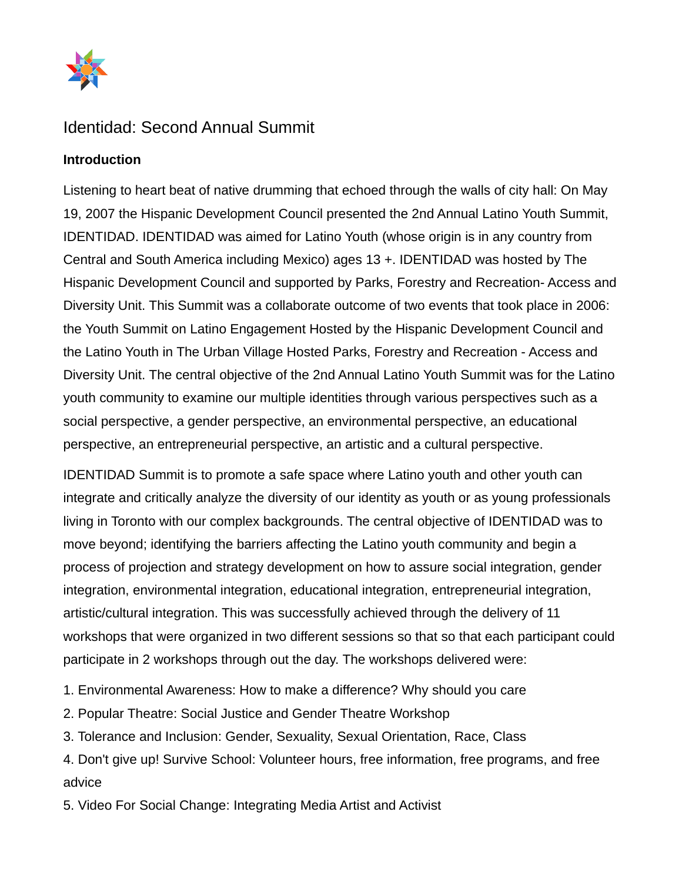

## Identidad: Second Annual Summit

## **Introduction**

Listening to heart beat of native drumming that echoed through the walls of city hall: On May 19, 2007 the Hispanic Development Council presented the 2nd Annual Latino Youth Summit, IDENTIDAD. IDENTIDAD was aimed for Latino Youth (whose origin is in any country from Central and South America including Mexico) ages 13 +. IDENTIDAD was hosted by The Hispanic Development Council and supported by Parks, Forestry and Recreation- Access and Diversity Unit. This Summit was a collaborate outcome of two events that took place in 2006: the Youth Summit on Latino Engagement Hosted by the Hispanic Development Council and the Latino Youth in The Urban Village Hosted Parks, Forestry and Recreation - Access and Diversity Unit. The central objective of the 2nd Annual Latino Youth Summit was for the Latino youth community to examine our multiple identities through various perspectives such as a social perspective, a gender perspective, an environmental perspective, an educational perspective, an entrepreneurial perspective, an artistic and a cultural perspective.

IDENTIDAD Summit is to promote a safe space where Latino youth and other youth can integrate and critically analyze the diversity of our identity as youth or as young professionals living in Toronto with our complex backgrounds. The central objective of IDENTIDAD was to move beyond; identifying the barriers affecting the Latino youth community and begin a process of projection and strategy development on how to assure social integration, gender integration, environmental integration, educational integration, entrepreneurial integration, artistic/cultural integration. This was successfully achieved through the delivery of 11 workshops that were organized in two different sessions so that so that each participant could participate in 2 workshops through out the day. The workshops delivered were:

1. Environmental Awareness: How to make a difference? Why should you care

2. Popular Theatre: Social Justice and Gender Theatre Workshop

3. Tolerance and Inclusion: Gender, Sexuality, Sexual Orientation, Race, Class

4. Don't give up! Survive School: Volunteer hours, free information, free programs, and free advice

5. Video For Social Change: Integrating Media Artist and Activist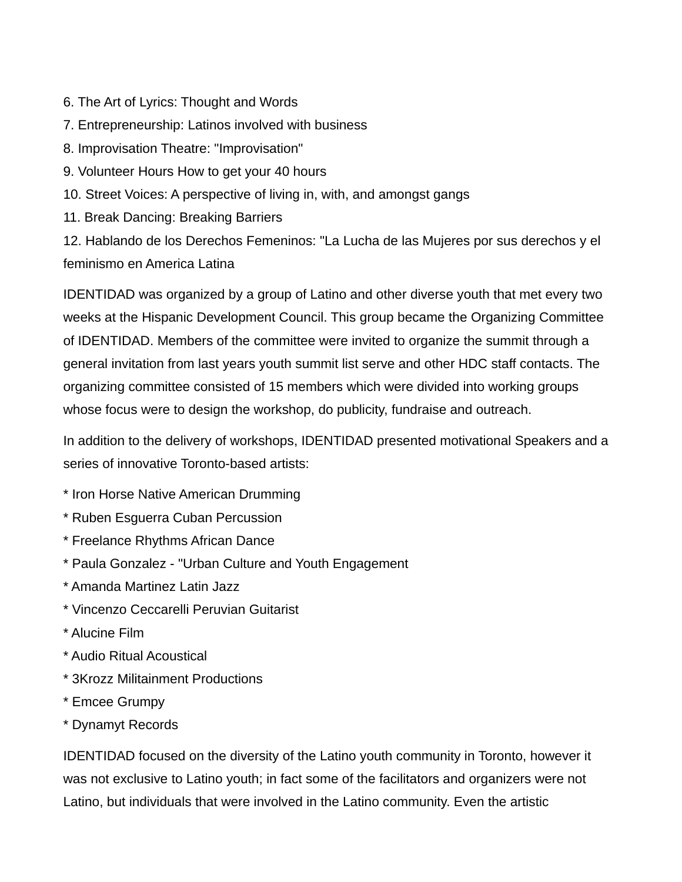- 6. The Art of Lyrics: Thought and Words
- 7. Entrepreneurship: Latinos involved with business
- 8. Improvisation Theatre: "Improvisation"
- 9. Volunteer Hours How to get your 40 hours
- 10. Street Voices: A perspective of living in, with, and amongst gangs
- 11. Break Dancing: Breaking Barriers

12. Hablando de los Derechos Femeninos: "La Lucha de las Mujeres por sus derechos y el feminismo en America Latina

IDENTIDAD was organized by a group of Latino and other diverse youth that met every two weeks at the Hispanic Development Council. This group became the Organizing Committee of IDENTIDAD. Members of the committee were invited to organize the summit through a general invitation from last years youth summit list serve and other HDC staff contacts. The organizing committee consisted of 15 members which were divided into working groups whose focus were to design the workshop, do publicity, fundraise and outreach.

In addition to the delivery of workshops, IDENTIDAD presented motivational Speakers and a series of innovative Toronto-based artists:

- \* Iron Horse Native American Drumming
- \* Ruben Esguerra Cuban Percussion
- \* Freelance Rhythms African Dance
- \* Paula Gonzalez "Urban Culture and Youth Engagement
- \* Amanda Martinez Latin Jazz
- \* Vincenzo Ceccarelli Peruvian Guitarist
- \* Alucine Film
- \* Audio Ritual Acoustical
- \* 3Krozz Militainment Productions
- \* Emcee Grumpy
- \* Dynamyt Records

IDENTIDAD focused on the diversity of the Latino youth community in Toronto, however it was not exclusive to Latino youth; in fact some of the facilitators and organizers were not Latino, but individuals that were involved in the Latino community. Even the artistic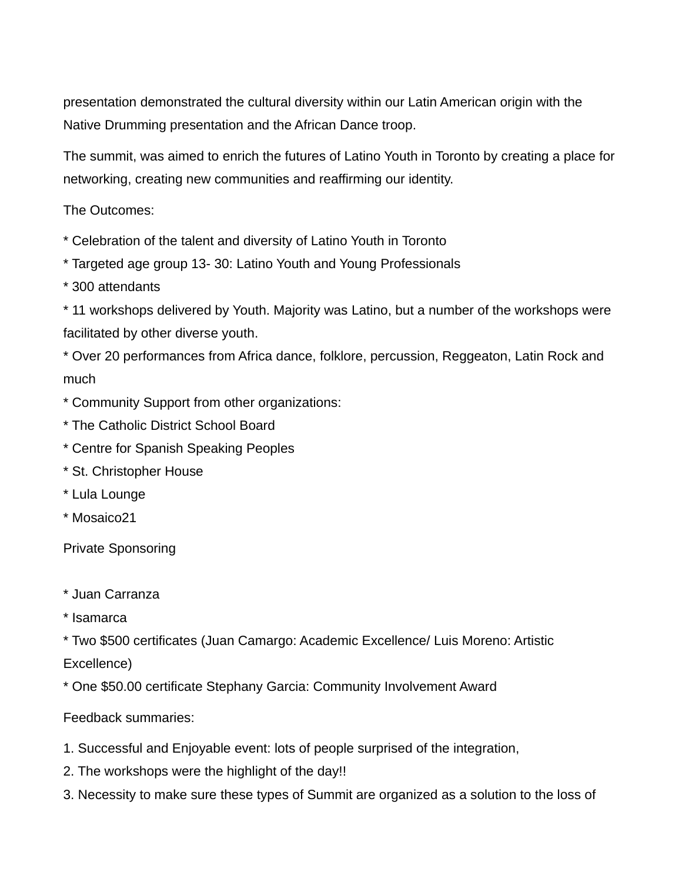presentation demonstrated the cultural diversity within our Latin American origin with the Native Drumming presentation and the African Dance troop.

The summit, was aimed to enrich the futures of Latino Youth in Toronto by creating a place for networking, creating new communities and reaffirming our identity.

The Outcomes:

\* Celebration of the talent and diversity of Latino Youth in Toronto

- \* Targeted age group 13- 30: Latino Youth and Young Professionals
- \* 300 attendants

\* 11 workshops delivered by Youth. Majority was Latino, but a number of the workshops were facilitated by other diverse youth.

\* Over 20 performances from Africa dance, folklore, percussion, Reggeaton, Latin Rock and much

- \* Community Support from other organizations:
- \* The Catholic District School Board
- \* Centre for Spanish Speaking Peoples
- \* St. Christopher House
- \* Lula Lounge
- \* Mosaico21

Private Sponsoring

- \* Juan Carranza
- \* Isamarca

\* Two \$500 certificates (Juan Camargo: Academic Excellence/ Luis Moreno: Artistic Excellence)

\* One \$50.00 certificate Stephany Garcia: Community Involvement Award

Feedback summaries:

- 1. Successful and Enjoyable event: lots of people surprised of the integration,
- 2. The workshops were the highlight of the day!!
- 3. Necessity to make sure these types of Summit are organized as a solution to the loss of